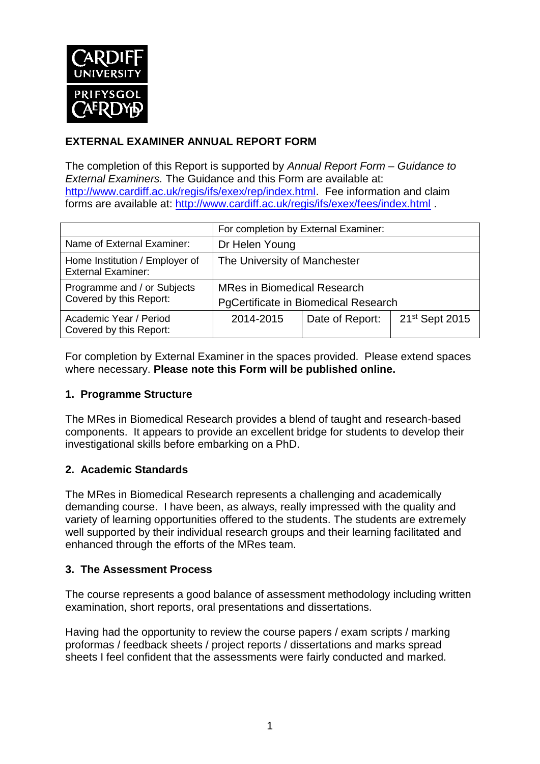

# **EXTERNAL EXAMINER ANNUAL REPORT FORM**

The completion of this Report is supported by *Annual Report Form – Guidance to External Examiners.* The Guidance and this Form are available at: [http://www.cardiff.ac.uk/regis/ifs/exex/rep/index.html.](http://www.cardiff.ac.uk/regis/ifs/exex/rep/index.html) Fee information and claim forms are available at:<http://www.cardiff.ac.uk/regis/ifs/exex/fees/index.html> .

|                                                             | For completion by External Examiner:                                       |                 |                            |  |  |
|-------------------------------------------------------------|----------------------------------------------------------------------------|-----------------|----------------------------|--|--|
| Name of External Examiner:                                  | Dr Helen Young                                                             |                 |                            |  |  |
| Home Institution / Employer of<br><b>External Examiner:</b> | The University of Manchester                                               |                 |                            |  |  |
| Programme and / or Subjects<br>Covered by this Report:      | <b>MRes in Biomedical Research</b><br>PgCertificate in Biomedical Research |                 |                            |  |  |
| Academic Year / Period<br>Covered by this Report:           | 2014-2015                                                                  | Date of Report: | 21 <sup>st</sup> Sept 2015 |  |  |

For completion by External Examiner in the spaces provided. Please extend spaces where necessary. **Please note this Form will be published online.**

#### **1. Programme Structure**

The MRes in Biomedical Research provides a blend of taught and research-based components. It appears to provide an excellent bridge for students to develop their investigational skills before embarking on a PhD.

## **2. Academic Standards**

The MRes in Biomedical Research represents a challenging and academically demanding course. I have been, as always, really impressed with the quality and variety of learning opportunities offered to the students. The students are extremely well supported by their individual research groups and their learning facilitated and enhanced through the efforts of the MRes team.

#### **3. The Assessment Process**

The course represents a good balance of assessment methodology including written examination, short reports, oral presentations and dissertations.

Having had the opportunity to review the course papers / exam scripts / marking proformas / feedback sheets / project reports / dissertations and marks spread sheets I feel confident that the assessments were fairly conducted and marked.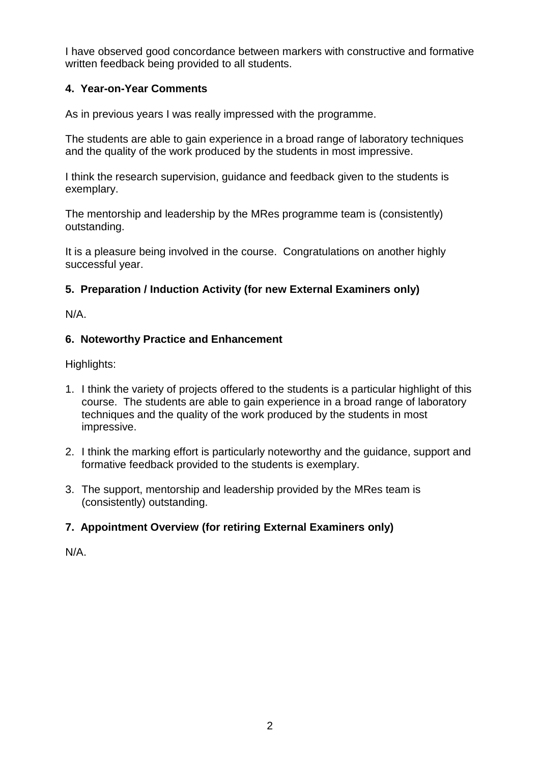I have observed good concordance between markers with constructive and formative written feedback being provided to all students.

# **4. Year-on-Year Comments**

As in previous years I was really impressed with the programme.

The students are able to gain experience in a broad range of laboratory techniques and the quality of the work produced by the students in most impressive.

I think the research supervision, guidance and feedback given to the students is exemplary.

The mentorship and leadership by the MRes programme team is (consistently) outstanding.

It is a pleasure being involved in the course. Congratulations on another highly successful year.

# **5. Preparation / Induction Activity (for new External Examiners only)**

N/A.

## **6. Noteworthy Practice and Enhancement**

Highlights:

- 1. I think the variety of projects offered to the students is a particular highlight of this course. The students are able to gain experience in a broad range of laboratory techniques and the quality of the work produced by the students in most impressive.
- 2. I think the marking effort is particularly noteworthy and the guidance, support and formative feedback provided to the students is exemplary.
- 3. The support, mentorship and leadership provided by the MRes team is (consistently) outstanding.

## **7. Appointment Overview (for retiring External Examiners only)**

N/A.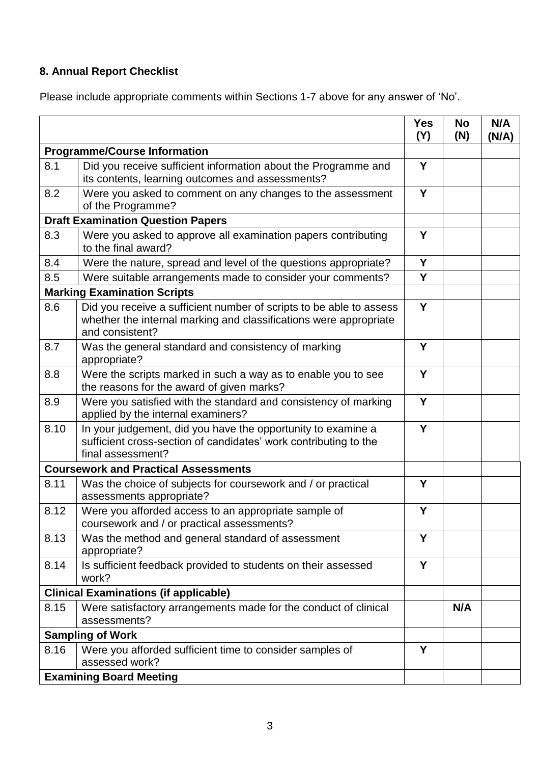# **8. Annual Report Checklist**

Please include appropriate comments within Sections 1-7 above for any answer of 'No'.

|                                             |                                                                                                                                                             | <b>Yes</b><br>(Y) | <b>No</b><br>(N) | N/A<br>(N/A) |
|---------------------------------------------|-------------------------------------------------------------------------------------------------------------------------------------------------------------|-------------------|------------------|--------------|
| <b>Programme/Course Information</b>         |                                                                                                                                                             |                   |                  |              |
| 8.1                                         | Did you receive sufficient information about the Programme and<br>its contents, learning outcomes and assessments?                                          | Y                 |                  |              |
| 8.2                                         | Were you asked to comment on any changes to the assessment<br>of the Programme?                                                                             | Y                 |                  |              |
| <b>Draft Examination Question Papers</b>    |                                                                                                                                                             |                   |                  |              |
| 8.3                                         | Were you asked to approve all examination papers contributing<br>to the final award?                                                                        | Y                 |                  |              |
| 8.4                                         | Were the nature, spread and level of the questions appropriate?                                                                                             | Y                 |                  |              |
| 8.5                                         | Were suitable arrangements made to consider your comments?                                                                                                  | Y                 |                  |              |
|                                             | <b>Marking Examination Scripts</b>                                                                                                                          |                   |                  |              |
| 8.6                                         | Did you receive a sufficient number of scripts to be able to assess<br>whether the internal marking and classifications were appropriate<br>and consistent? | Y                 |                  |              |
| 8.7                                         | Was the general standard and consistency of marking<br>appropriate?                                                                                         | Y                 |                  |              |
| 8.8                                         | Were the scripts marked in such a way as to enable you to see<br>the reasons for the award of given marks?                                                  | Y                 |                  |              |
| 8.9                                         | Were you satisfied with the standard and consistency of marking<br>applied by the internal examiners?                                                       | Y                 |                  |              |
| 8.10                                        | In your judgement, did you have the opportunity to examine a<br>sufficient cross-section of candidates' work contributing to the<br>final assessment?       | Y                 |                  |              |
| <b>Coursework and Practical Assessments</b> |                                                                                                                                                             |                   |                  |              |
| 8.11                                        | Was the choice of subjects for coursework and / or practical<br>assessments appropriate?                                                                    | Y                 |                  |              |
| 8.12                                        | Were you afforded access to an appropriate sample of<br>coursework and / or practical assessments?                                                          | Y                 |                  |              |
| 8.13                                        | Was the method and general standard of assessment<br>appropriate?                                                                                           | Y                 |                  |              |
| 8.14                                        | Is sufficient feedback provided to students on their assessed<br>work?                                                                                      | Y                 |                  |              |
|                                             | <b>Clinical Examinations (if applicable)</b>                                                                                                                |                   |                  |              |
| 8.15                                        | Were satisfactory arrangements made for the conduct of clinical<br>assessments?                                                                             |                   | N/A              |              |
|                                             | <b>Sampling of Work</b>                                                                                                                                     |                   |                  |              |
| 8.16                                        | Were you afforded sufficient time to consider samples of<br>assessed work?                                                                                  | Y                 |                  |              |
| <b>Examining Board Meeting</b>              |                                                                                                                                                             |                   |                  |              |